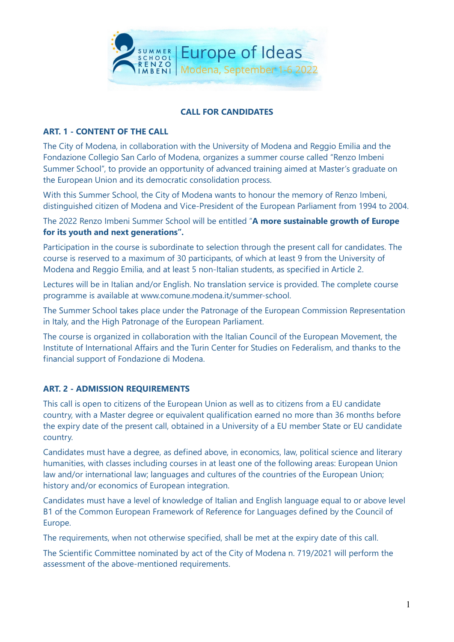

#### CALL FOR CANDIDATES

#### ART. 1 - CONTENT OF THE CALL

The City of Modena, in collaboration with the University of Modena and Reggio Emilia and the Fondazione Collegio San Carlo of Modena, organizes a summer course called "Renzo Imbeni Summer School", to provide an opportunity of advanced training aimed at Master's graduate on the European Union and its democratic consolidation process.

With this Summer School, the City of Modena wants to honour the memory of Renzo Imbeni, distinguished citizen of Modena and Vice-President of the European Parliament from 1994 to 2004.

The 2022 Renzo Imbeni Summer School will be entitled "A more sustainable growth of Europe for its youth and next generations".

Participation in the course is subordinate to selection through the present call for candidates. The course is reserved to a maximum of 30 participants, of which at least 9 from the University of Modena and Reggio Emilia, and at least 5 non-Italian students, as specified in Article 2.

Lectures will be in Italian and/or English. No translation service is provided. The complete course programme is available at www.comune.modena.it/summer-school.

The Summer School takes place under the Patronage of the European Commission Representation in Italy, and the High Patronage of the European Parliament.

The course is organized in collaboration with the Italian Council of the European Movement, the Institute of International Affairs and the Turin Center for Studies on Federalism, and thanks to the financial support of Fondazione di Modena.

### ART. 2 - ADMISSION REQUIREMENTS

This call is open to citizens of the European Union as well as to citizens from a EU candidate country, with a Master degree or equivalent qualification earned no more than 36 months before the expiry date of the present call, obtained in a University of a EU member State or EU candidate country.

Candidates must have a degree, as defined above, in economics, law, political science and literary humanities, with classes including courses in at least one of the following areas: European Union law and/or international law; languages and cultures of the countries of the European Union; history and/or economics of European integration.

Candidates must have a level of knowledge of Italian and English language equal to or above level B1 of the Common European Framework of Reference for Languages defined by the Council of Europe.

The requirements, when not otherwise specified, shall be met at the expiry date of this call.

The Scientific Committee nominated by act of the City of Modena n. 719/2021 will perform the assessment of the above-mentioned requirements.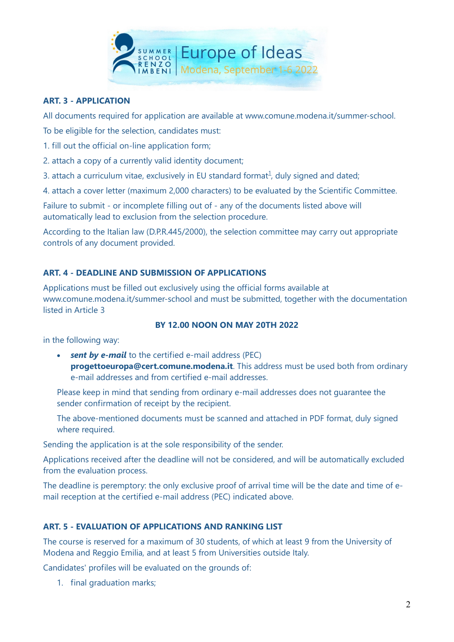

### ART. 3 - APPLICATION

All documents required for application are available at www.comune.modena.it/summer-school.

To be eligible for the selection, candidates must:

- 1. fill out the official on-line application form;
- 2. attach a copy of a currently valid identity document;
- 3. attach a curriculum vitae, exclusively in EU standard format $<sup>1</sup>$ , duly signed and dated;</sup>

4. attach a cover letter (maximum 2,000 characters) to be evaluated by the Scientific Committee.

Failure to submit - or incomplete filling out of - any of the documents listed above will automatically lead to exclusion from the selection procedure.

According to the Italian law (D.P.R.445/2000), the selection committee may carry out appropriate controls of any document provided.

### ART. 4 - DEADLINE AND SUBMISSION OF APPLICATIONS

Applications must be filled out exclusively using the official forms available at www.comune.modena.it/summer-school and must be submitted, together with the documentation listed in Article 3

### BY 12.00 NOON ON MAY 20TH 2022

in the following way:

 $\cdot$  sent by e-mail to the certified e-mail address (PEC) progettoeuropa@cert.comune.modena.it. This address must be used both from ordinary e-mail addresses and from certified e-mail addresses.

Please keep in mind that sending from ordinary e-mail addresses does not guarantee the sender confirmation of receipt by the recipient.

The above-mentioned documents must be scanned and attached in PDF format, duly signed where required.

Sending the application is at the sole responsibility of the sender.

Applications received after the deadline will not be considered, and will be automatically excluded from the evaluation process.

The deadline is peremptory: the only exclusive proof of arrival time will be the date and time of email reception at the certified e-mail address (PEC) indicated above.

### ART. 5 - EVALUATION OF APPLICATIONS AND RANKING LIST

The course is reserved for a maximum of 30 students, of which at least 9 from the University of Modena and Reggio Emilia, and at least 5 from Universities outside Italy.

Candidates' profiles will be evaluated on the grounds of:

1. final graduation marks;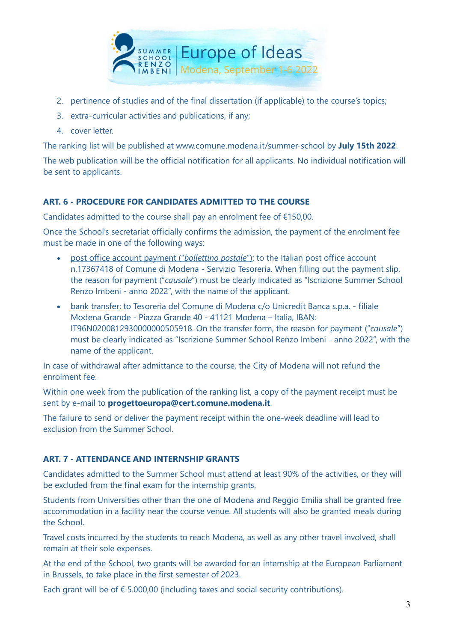

- 2. pertinence of studies and of the final dissertation (if applicable) to the course's topics;
- 3. extra-curricular activities and publications, if any;
- 4. cover letter.

The ranking list will be published at www.comune.modena.it/summer-school by July 15th 2022.

The web publication will be the official notification for all applicants. No individual notification will be sent to applicants.

# ART. 6 - PROCEDURE FOR CANDIDATES ADMITTED TO THE COURSE

Candidates admitted to the course shall pay an enrolment fee of €150,00.

Once the School's secretariat officially confirms the admission, the payment of the enrolment fee must be made in one of the following ways:

- post office account payment ("bollettino postale"): to the Italian post office account n.17367418 of Comune di Modena - Servizio Tesoreria. When filling out the payment slip, the reason for payment ("causale") must be clearly indicated as "Iscrizione Summer School Renzo Imbeni - anno 2022", with the name of the applicant.
- bank transfer: to Tesoreria del Comune di Modena c/o Unicredit Banca s.p.a. filiale Modena Grande - Piazza Grande 40 - 41121 Modena – Italia, IBAN: IT96N0200812930000000505918. On the transfer form, the reason for payment ("causale") must be clearly indicated as "Iscrizione Summer School Renzo Imbeni - anno 2022", with the name of the applicant.

In case of withdrawal after admittance to the course, the City of Modena will not refund the enrolment fee.

Within one week from the publication of the ranking list, a copy of the payment receipt must be sent by e-mail to progettoeuropa@cert.comune.modena.it.

The failure to send or deliver the payment receipt within the one-week deadline will lead to exclusion from the Summer School.

# ART. 7 - ATTENDANCE AND INTERNSHIP GRANTS

Candidates admitted to the Summer School must attend at least 90% of the activities, or they will be excluded from the final exam for the internship grants.

Students from Universities other than the one of Modena and Reggio Emilia shall be granted free accommodation in a facility near the course venue. All students will also be granted meals during the School.

Travel costs incurred by the students to reach Modena, as well as any other travel involved, shall remain at their sole expenses.

At the end of the School, two grants will be awarded for an internship at the European Parliament in Brussels, to take place in the first semester of 2023.

Each grant will be of  $\epsilon$  5.000,00 (including taxes and social security contributions).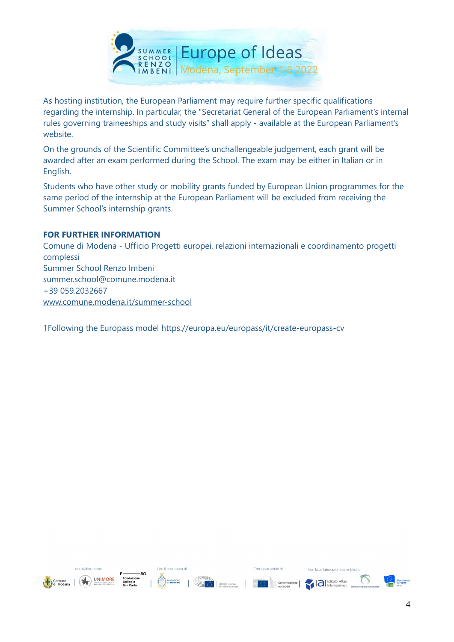

As hosting institution, the European Parliament may require further specific qualifications regarding the internship. In particular, the "Secretariat General of the European Parliament's internal rules governing traineeships and study visits" shall apply - available at the European Parliament's website.

On the grounds of the Scientific Committee's unchallengeable judgement, each grant will be awarded after an exam performed during the School. The exam may be either in Italian or in English.

Students who have other study or mobility grants funded by European Union programmes for the same period of the internship at the European Parliament will be excluded from receiving the Summer School's internship grants.

#### FOR FURTHER INFORMATION

Comune di Modena - Ufficio Progetti europei, relazioni internazionali e coordinamento progetti complessi Summer School Renzo Imbeni summer.school@comune.modena.it +39 059.2032667 www.comune.modena.it/summer-school

1Following the Europass model https://europa.eu/europass/it/create-europass-cv